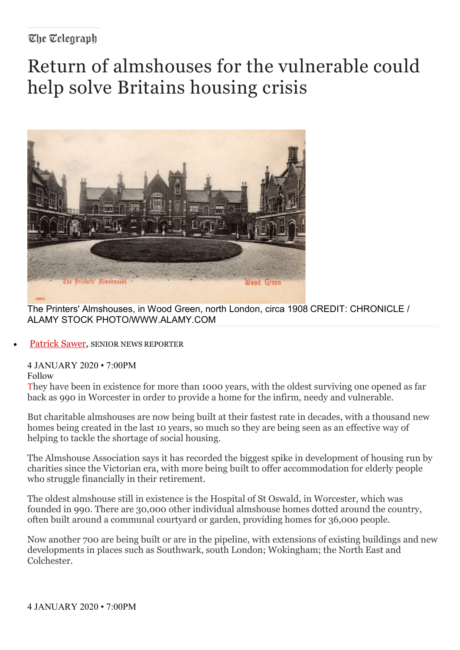### The Telearaph

# Return of almshouses for the vulnerable could help solve Britains housing crisis



The Printers' Almshouses, in Wood Green, north London, circa 1908 CREDIT: CHRONICLE / [ALAMY STOCK PHOTO/WWW.ALAMY.COM](https://www.telegraph.co.uk/money/retirement-and-pension-planning/plan-your-retirement-dream/?utm_campaign=tmgspk_plrtop_2504_AtG9wmg5w9lD&plr=1&utm_content=2504&utm_source=tmgspk&WT.mc_id=tmgspk_plrtop_2504_AtG9wmg5w9lD&utm_medium=plrtop)

[Patrick Sawer,](https://www.telegraph.co.uk/authors/patrick-sawer/) SENIOR NEWS REPORTER

4 JANUARY 2020 • 7:00PM Follow

They have been in existence for more than 1000 years, with the oldest surviving one opened as far back as 990 in Worcester in order to provide a home for the infirm, needy and vulnerable.

But charitable almshouses are now being built at their fastest rate in decades, with a thousand new homes being created in the last 10 years, so much so they are being seen as an effective way of helping to tackle the shortage of social housing.

The Almshouse Association says it has recorded the biggest spike in development of housing run by charities since the Victorian era, with more being built to offer accommodation for elderly people who struggle financially in their retirement.

The oldest almshouse still in existence is the Hospital of St Oswald, in Worcester, which was founded in 990. There are 30,000 other individual almshouse homes dotted around the country, often built around a communal courtyard or garden, providing homes for 36,000 people.

Now another 700 are being built or are in the pipeline, with extensions of existing buildings and new developments in places such as Southwark, south London; Wokingham; the North East and Colchester.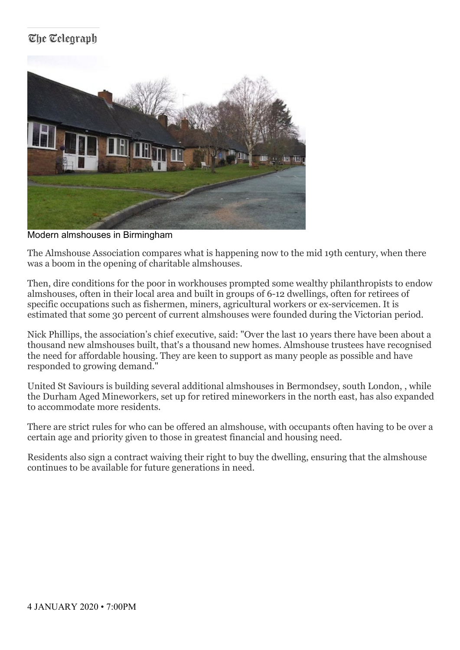# The Telearaph



Modern almshouses in Birmingham

The Almshouse Association compares what is happening now to the mid 19th century, when there was a boom in the opening of charitable almshouses.

Then, dire conditions for the poor in workhouses prompted some wealthy philanthropists to endow almshouses, often in their local area and built in groups of 6-12 dwellings, often for retirees of specific occupations such as fishermen, miners, agricultural workers or ex-servicemen. It is estimated that some 30 percent of current almshouses were founded during the Victorian period.

Nick Phillips, the association's chief executive, said: "Over the last 10 years there have been about a thousand new almshouses built, that's a thousand new homes. Almshouse trustees have recognised the need for affordable housing. They are keen to support as many people as possible and have responded to growing demand."

United St Saviours is building several additional almshouses in Bermondsey, south London, , while the Durham Aged Mineworkers, set up for retired mineworkers in the north east, has also expanded to accommodate more residents.

There are strict rules for who can be offered an almshouse, with occupants often having to be over a certain age and priority given to those in greatest financial and housing need.

Residents also sign a contract waiving their right to buy the dwelling, ensuring that the almshouse continues to be available for future generations in need.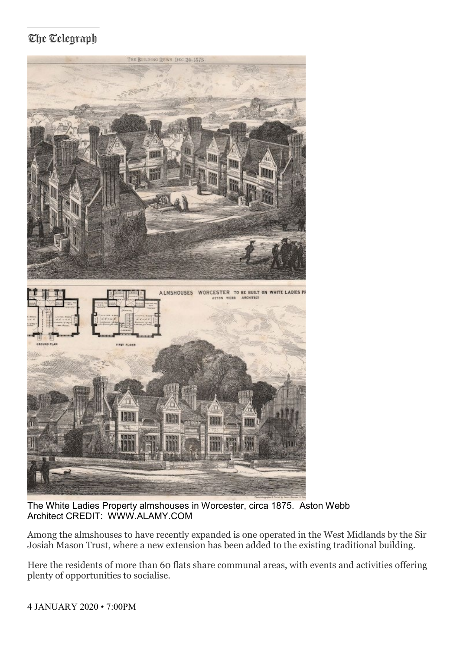## The Telegraph



The White Ladies Property almshouses in Worcester, circa 1875. Aston Webb Architect CREDIT: WWW.ALAMY.COM

Among the almshouses to have recently expanded is one operated in the West Midlands by the Sir Josiah Mason Trust, where a new extension has been added to the existing traditional building.

Here the residents of more than 60 flats share communal areas, with events and activities offering plenty of opportunities to socialise.